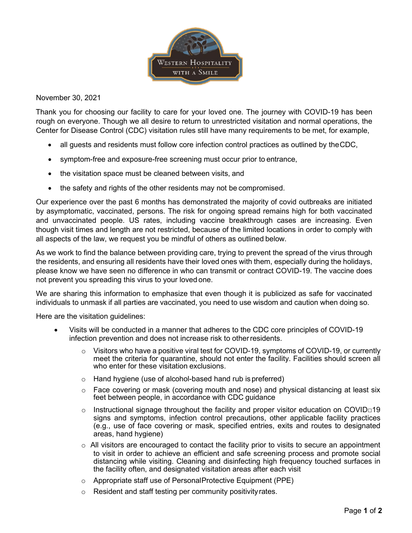

November 30, 2021

Thank you for choosing our facility to care for your loved one. The journey with COVID-19 has been rough on everyone. Though we all desire to return to unrestricted visitation and normal operations, the Center for Disease Control (CDC) visitation rules still have many requirements to be met, for example,

- all guests and residents must follow core infection control practices as outlined by theCDC,
- symptom-free and exposure-free screening must occur prior to entrance,
- the visitation space must be cleaned between visits, and
- the safety and rights of the other residents may not be compromised.

Our experience over the past 6 months has demonstrated the majority of covid outbreaks are initiated by asymptomatic, vaccinated, persons. The risk for ongoing spread remains high for both vaccinated and unvaccinated people. US rates, including vaccine breakthrough cases are increasing. Even though visit times and length are not restricted, because of the limited locations in order to comply with all aspects of the law, we request you be mindful of others as outlined below.

As we work to find the balance between providing care, trying to prevent the spread of the virus through the residents, and ensuring all residents have their loved ones with them, especially during the holidays, please know we have seen no difference in who can transmit or contract COVID-19. The vaccine does not prevent you spreading this virus to your loved one.

We are sharing this information to emphasize that even though it is publicized as safe for vaccinated individuals to unmask if all parties are vaccinated, you need to use wisdom and caution when doing so.

Here are the visitation guidelines:

- Visits will be conducted in a manner that adheres to the CDC core principles of COVID-19 infection prevention and does not increase risk to otherresidents.
	- $\circ$  Visitors who have a positive viral test for COVID-19, symptoms of COVID-19, or currently meet the criteria for quarantine, should not enter the facility. Facilities should screen all who enter for these visitation exclusions.
	- o Hand hygiene (use of alcohol-based hand rub is preferred)
	- $\circ$  Face covering or mask (covering mouth and nose) and physical distancing at least six feet between people, in accordance with CDC guidance
	- Instructional signage throughout the facility and proper visitor education on COVID $\neg$ 19 signs and symptoms, infection control precautions, other applicable facility practices (e.g., use of face covering or mask, specified entries, exits and routes to designated areas, hand hygiene)
	- $\circ$  All visitors are encouraged to contact the facility prior to visits to secure an appointment to visit in order to achieve an efficient and safe screening process and promote social distancing while visiting. Cleaning and disinfecting high frequency touched surfaces in the facility often, and designated visitation areas after each visit
	- o Appropriate staff use of PersonalProtective Equipment (PPE)
	- Resident and staff testing per community positivity rates.